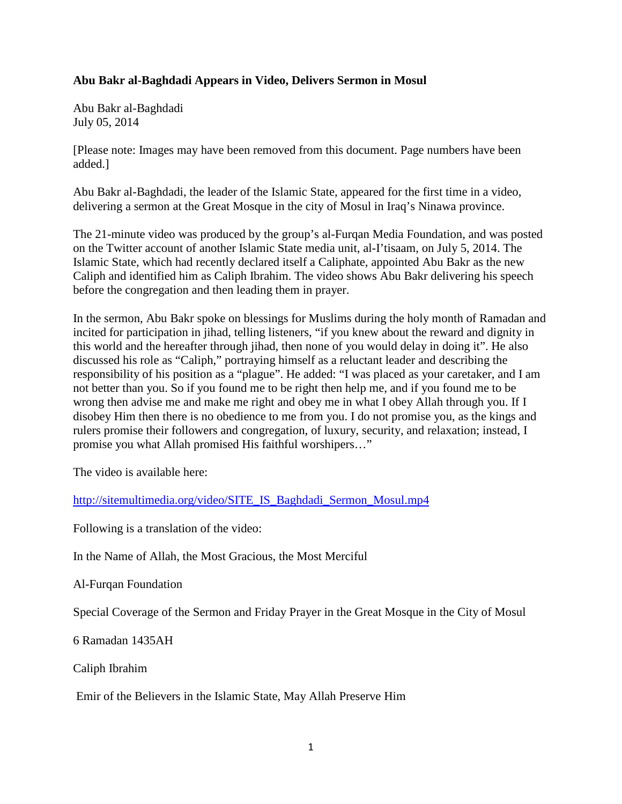## **Abu Bakr al-Baghdadi Appears in Video, Delivers Sermon in Mosul**

Abu Bakr al-Baghdadi July 05, 2014

[Please note: Images may have been removed from this document. Page numbers have been added.]

Abu Bakr al-Baghdadi, the leader of the Islamic State, appeared for the first time in a video, delivering a sermon at the Great Mosque in the city of Mosul in Iraq's Ninawa province.

The 21-minute video was produced by the group's al-Furqan Media Foundation, and was posted on the Twitter account of another Islamic State media unit, al-I'tisaam, on July 5, 2014. The Islamic State, which had recently declared itself a Caliphate, appointed Abu Bakr as the new Caliph and identified him as Caliph Ibrahim. The video shows Abu Bakr delivering his speech before the congregation and then leading them in prayer.

In the sermon, Abu Bakr spoke on blessings for Muslims during the holy month of Ramadan and incited for participation in jihad, telling listeners, "if you knew about the reward and dignity in this world and the hereafter through jihad, then none of you would delay in doing it". He also discussed his role as "Caliph," portraying himself as a reluctant leader and describing the responsibility of his position as a "plague". He added: "I was placed as your caretaker, and I am not better than you. So if you found me to be right then help me, and if you found me to be wrong then advise me and make me right and obey me in what I obey Allah through you. If I disobey Him then there is no obedience to me from you. I do not promise you, as the kings and rulers promise their followers and congregation, of luxury, security, and relaxation; instead, I promise you what Allah promised His faithful worshipers…"

The video is available here:

[http://sitemultimedia.org/video/SITE\\_IS\\_Baghdadi\\_Sermon\\_Mosul.mp4](http://sitemultimedia.org/video/SITE_IS_Baghdadi_Sermon_Mosul.mp4)

Following is a translation of the video:

In the Name of Allah, the Most Gracious, the Most Merciful

Al-Furqan Foundation

Special Coverage of the Sermon and Friday Prayer in the Great Mosque in the City of Mosul

6 Ramadan 1435AH

Caliph Ibrahim

Emir of the Believers in the Islamic State, May Allah Preserve Him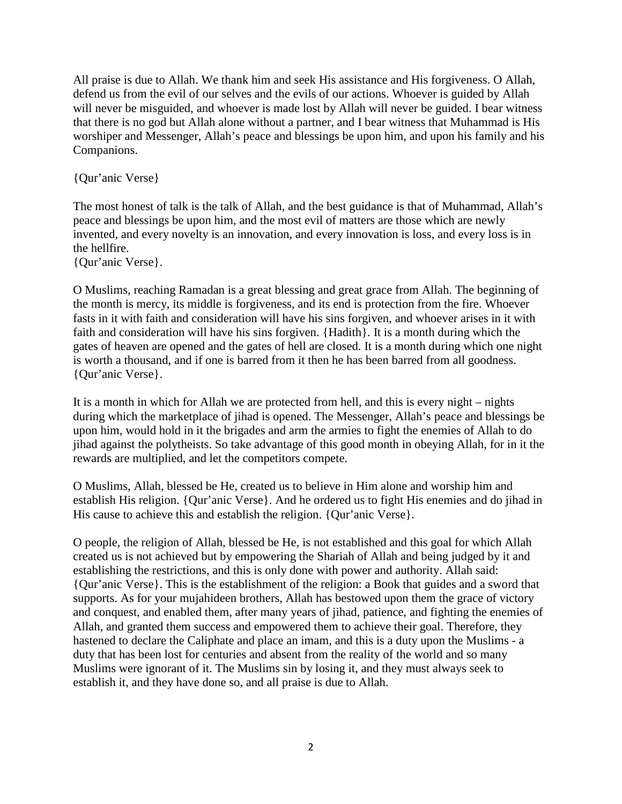All praise is due to Allah. We thank him and seek His assistance and His forgiveness. O Allah, defend us from the evil of our selves and the evils of our actions. Whoever is guided by Allah will never be misguided, and whoever is made lost by Allah will never be guided. I bear witness that there is no god but Allah alone without a partner, and I bear witness that Muhammad is His worshiper and Messenger, Allah's peace and blessings be upon him, and upon his family and his Companions.

{Qur'anic Verse}

The most honest of talk is the talk of Allah, and the best guidance is that of Muhammad, Allah's peace and blessings be upon him, and the most evil of matters are those which are newly invented, and every novelty is an innovation, and every innovation is loss, and every loss is in the hellfire.

{Qur'anic Verse}.

O Muslims, reaching Ramadan is a great blessing and great grace from Allah. The beginning of the month is mercy, its middle is forgiveness, and its end is protection from the fire. Whoever fasts in it with faith and consideration will have his sins forgiven, and whoever arises in it with faith and consideration will have his sins forgiven. {Hadith}. It is a month during which the gates of heaven are opened and the gates of hell are closed. It is a month during which one night is worth a thousand, and if one is barred from it then he has been barred from all goodness. {Qur'anic Verse}.

It is a month in which for Allah we are protected from hell, and this is every night – nights during which the marketplace of jihad is opened. The Messenger, Allah's peace and blessings be upon him, would hold in it the brigades and arm the armies to fight the enemies of Allah to do jihad against the polytheists. So take advantage of this good month in obeying Allah, for in it the rewards are multiplied, and let the competitors compete.

O Muslims, Allah, blessed be He, created us to believe in Him alone and worship him and establish His religion. {Qur'anic Verse}. And he ordered us to fight His enemies and do jihad in His cause to achieve this and establish the religion. {Qur'anic Verse}.

O people, the religion of Allah, blessed be He, is not established and this goal for which Allah created us is not achieved but by empowering the Shariah of Allah and being judged by it and establishing the restrictions, and this is only done with power and authority. Allah said: {Qur'anic Verse}. This is the establishment of the religion: a Book that guides and a sword that supports. As for your mujahideen brothers, Allah has bestowed upon them the grace of victory and conquest, and enabled them, after many years of jihad, patience, and fighting the enemies of Allah, and granted them success and empowered them to achieve their goal. Therefore, they hastened to declare the Caliphate and place an imam, and this is a duty upon the Muslims - a duty that has been lost for centuries and absent from the reality of the world and so many Muslims were ignorant of it. The Muslims sin by losing it, and they must always seek to establish it, and they have done so, and all praise is due to Allah.